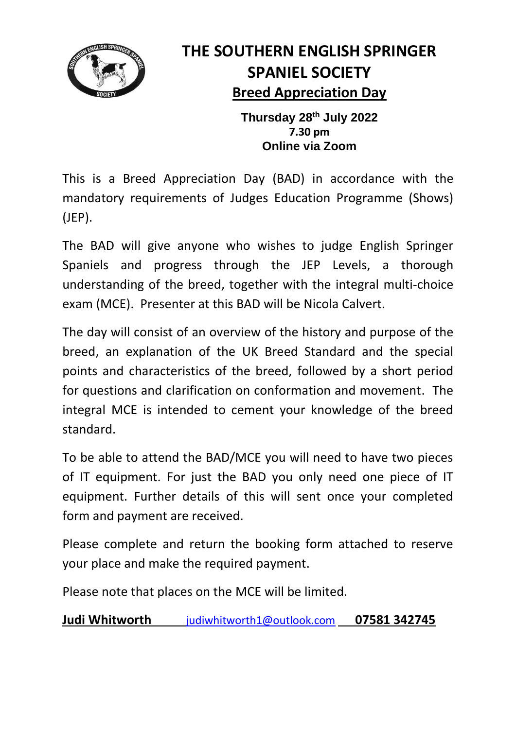

## **THE SOUTHERN ENGLISH SPRINGER SPANIEL SOCIETY Breed Appreciation Day**

**Thursday 28th July 2022 7.30 pm Online via Zoom**

This is a Breed Appreciation Day (BAD) in accordance with the mandatory requirements of Judges Education Programme (Shows) (JEP).

The BAD will give anyone who wishes to judge English Springer Spaniels and progress through the JEP Levels, a thorough understanding of the breed, together with the integral multi-choice exam (MCE). Presenter at this BAD will be Nicola Calvert.

The day will consist of an overview of the history and purpose of the breed, an explanation of the UK Breed Standard and the special points and characteristics of the breed, followed by a short period for questions and clarification on conformation and movement. The integral MCE is intended to cement your knowledge of the breed standard.

To be able to attend the BAD/MCE you will need to have two pieces of IT equipment. For just the BAD you only need one piece of IT equipment. Further details of this will sent once your completed form and payment are received.

Please complete and return the booking form attached to reserve your place and make the required payment.

Please note that places on the MCE will be limited.

**Judi Whitworth** [judiwhitworth1@outlook.com](mailto:judiwhitworth1@outlook.com) **07581 342745**